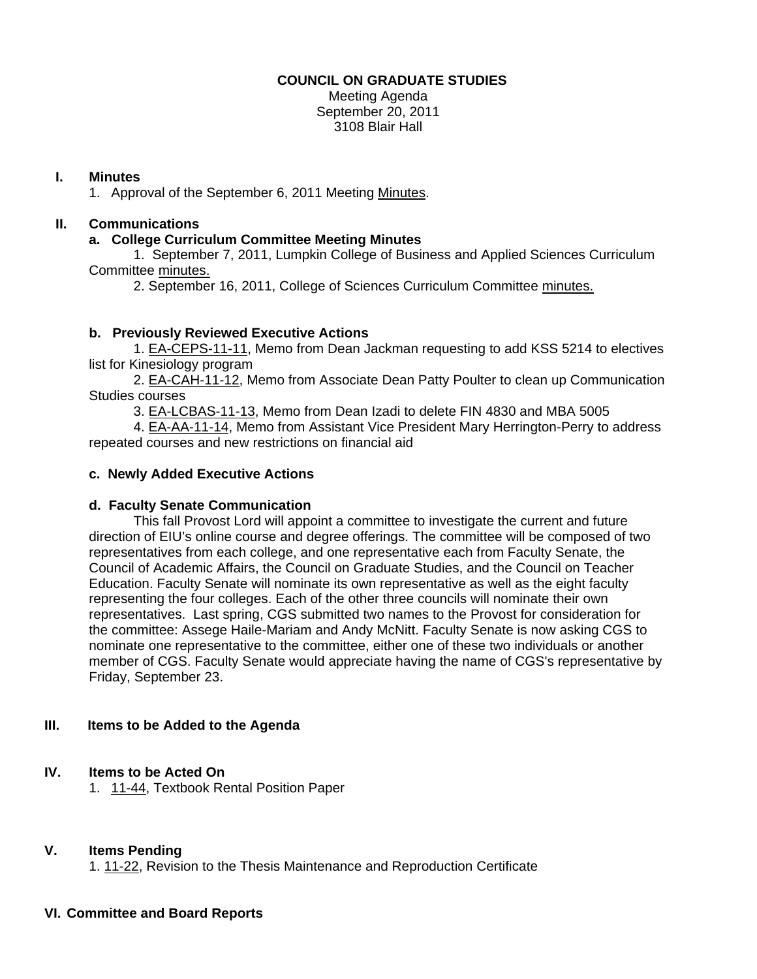### **COUNCIL ON GRADUATE STUDIES**

Meeting Agenda September 20, 2011 3108 Blair Hall

#### **I. Minutes**

1. Approval of the September 6, 2011 Meetin[g Minutes.](http://castle.eiu.edu/eiucgs/currentminutes/Minutes9-6-11.pdf) 

## **II. Communications**

### **a. College Curriculum Committee Meeting Minutes**

 1. September 7, 2011, Lumpkin College of Business and Applied Sciences Curriculum Committ[ee minutes.](http://castle.eiu.edu/~eiucgs/currentagendaitems/LCBASMin9-7-11.pdf) 

2. September 16, 2011, College of Sciences Curriculum Committ[ee minutes.](http://castle.eiu.edu/~eiucgs/currentagendaitems/COSMin9-16-11.pdf) 

# **b. Previously Reviewed Executive Actions**

 [1. EA-CEPS-11-11, Me](http://castle.eiu.edu/~eiucgs/exec-actions/EA-CEPS-11-11.pdf)mo from Dean Jackman requesting to add KSS 5214 to electives list for Kinesiology program

[2. EA-CAH-11-12, Mem](http://castle.eiu.edu/~eiucgs/exec-actions/EA-CAH-11-12.pdf)o from Associate Dean Patty Poulter to clean up Communication Studies courses

[3. EA-LCBAS-11-13, Mem](http://castle.eiu.edu/~eiucgs/exec-actions/EA-LCBAS-11-13.pdf)o from Dean Izadi to delete FIN 4830 and MBA 5005

 4. [EA-AA-11-14, M](http://castle.eiu.edu/~eiucgs/exec-actions/EA-AA-11-14.pdf)emo from Assistant Vice President Mary Herrington-Perry to address repeated courses and new restrictions on financial aid

## **c. Newly Added Executive Actions**

#### **d. Faculty Senate Communication**

This fall Provost Lord will appoint a committee to investigate the current and future direction of EIU's online course and degree offerings. The committee will be composed of two representatives from each college, and one representative each from Faculty Senate, the Council of Academic Affairs, the Council on Graduate Studies, and the Council on Teacher Education. Faculty Senate will nominate its own representative as well as the eight faculty representing the four colleges. Each of the other three councils will nominate their own representatives. Last spring, CGS submitted two names to the Provost for consideration for the committee: Assege Haile-Mariam and Andy McNitt. Faculty Senate is now asking CGS to nominate one representative to the committee, either one of these two individuals or another member of CGS. Faculty Senate would appreciate having the name of CGS's representative by Friday, September 23.

#### **III. Items to be Added to the Agenda**

# **IV. [Items to be Ac](http://castle.eiu.edu/~eiucgs/currentagendaitems/agenda11-44.pdf)ted On**

1. 11-44, Textbook Rental Position Paper

#### **V. Items Pending**

[1. 11-22, Revi](http://castle.eiu.edu/~eiucgs/currentagendaitems/agenda11-22.pdf)sion to the Thesis Maintenance and Reproduction Certificate

#### **VI. Committee and Board Reports**